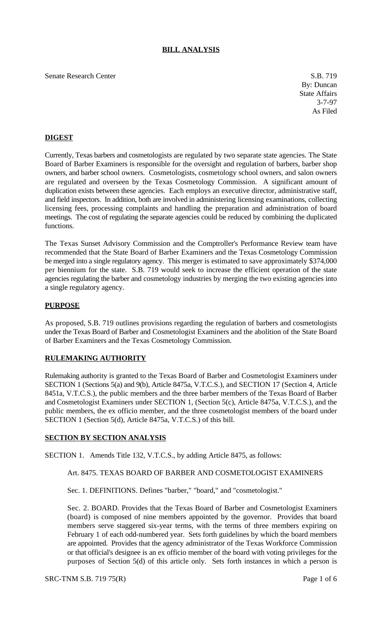# **BILL ANALYSIS**

Senate Research Center S.B. 719

By: Duncan State Affairs 3-7-97 As Filed

# **DIGEST**

Currently, Texas barbers and cosmetologists are regulated by two separate state agencies. The State Board of Barber Examiners is responsible for the oversight and regulation of barbers, barber shop owners, and barber school owners. Cosmetologists, cosmetology school owners, and salon owners are regulated and overseen by the Texas Cosmetology Commission. A significant amount of duplication exists between these agencies. Each employs an executive director, administrative staff, and field inspectors. In addition, both are involved in administering licensing examinations, collecting licensing fees, processing complaints and handling the preparation and administration of board meetings. The cost of regulating the separate agencies could be reduced by combining the duplicated functions.

The Texas Sunset Advisory Commission and the Comptroller's Performance Review team have recommended that the State Board of Barber Examiners and the Texas Cosmetology Commission be merged into a single regulatory agency. This merger is estimated to save approximately \$374,000 per biennium for the state. S.B. 719 would seek to increase the efficient operation of the state agencies regulating the barber and cosmetology industries by merging the two existing agencies into a single regulatory agency.

### **PURPOSE**

As proposed, S.B. 719 outlines provisions regarding the regulation of barbers and cosmetologists under the Texas Board of Barber and Cosmetologist Examiners and the abolition of the State Board of Barber Examiners and the Texas Cosmetology Commission.

#### **RULEMAKING AUTHORITY**

Rulemaking authority is granted to the Texas Board of Barber and Cosmetologist Examiners under SECTION 1 (Sections 5(a) and 9(b), Article 8475a, V.T.C.S.), and SECTION 17 (Section 4, Article 8451a, V.T.C.S.), the public members and the three barber members of the Texas Board of Barber and Cosmetologist Examiners under SECTION 1, (Section 5(c), Article 8475a, V.T.C.S.), and the public members, the ex officio member, and the three cosmetologist members of the board under SECTION 1 (Section 5(d), Article 8475a, V.T.C.S.) of this bill.

## **SECTION BY SECTION ANALYSIS**

SECTION 1. Amends Title 132, V.T.C.S., by adding Article 8475, as follows:

### Art. 8475. TEXAS BOARD OF BARBER AND COSMETOLOGIST EXAMINERS

Sec. 1. DEFINITIONS. Defines "barber," "board," and "cosmetologist."

Sec. 2. BOARD. Provides that the Texas Board of Barber and Cosmetologist Examiners (board) is composed of nine members appointed by the governor. Provides that board members serve staggered six-year terms, with the terms of three members expiring on February 1 of each odd-numbered year. Sets forth guidelines by which the board members are appointed. Provides that the agency administrator of the Texas Workforce Commission or that official's designee is an ex officio member of the board with voting privileges for the purposes of Section 5(d) of this article only. Sets forth instances in which a person is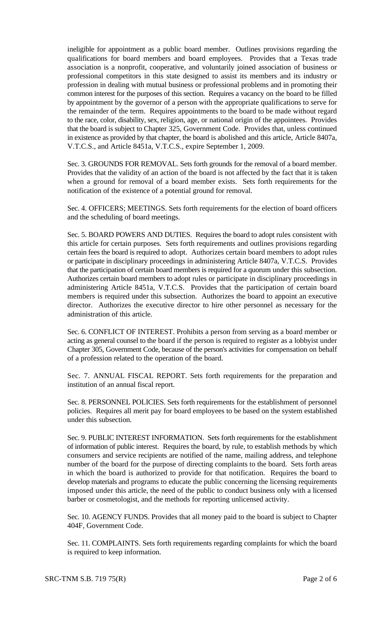ineligible for appointment as a public board member. Outlines provisions regarding the qualifications for board members and board employees. Provides that a Texas trade association is a nonprofit, cooperative, and voluntarily joined association of business or professional competitors in this state designed to assist its members and its industry or profession in dealing with mutual business or professional problems and in promoting their common interest for the purposes of this section. Requires a vacancy on the board to be filled by appointment by the governor of a person with the appropriate qualifications to serve for the remainder of the term. Requires appointments to the board to be made without regard to the race, color, disability, sex, religion, age, or national origin of the appointees. Provides that the board is subject to Chapter 325, Government Code. Provides that, unless continued in existence as provided by that chapter, the board is abolished and this article, Article 8407a, V.T.C.S., and Article 8451a, V.T.C.S., expire September 1, 2009.

Sec. 3. GROUNDS FOR REMOVAL. Sets forth grounds for the removal of a board member. Provides that the validity of an action of the board is not affected by the fact that it is taken when a ground for removal of a board member exists. Sets forth requirements for the notification of the existence of a potential ground for removal.

Sec. 4. OFFICERS; MEETINGS. Sets forth requirements for the election of board officers and the scheduling of board meetings.

Sec. 5. BOARD POWERS AND DUTIES. Requires the board to adopt rules consistent with this article for certain purposes. Sets forth requirements and outlines provisions regarding certain fees the board is required to adopt. Authorizes certain board members to adopt rules or participate in disciplinary proceedings in administering Article 8407a, V.T.C.S. Provides that the participation of certain board members is required for a quorum under this subsection. Authorizes certain board members to adopt rules or participate in disciplinary proceedings in administering Article 8451a, V.T.C.S. Provides that the participation of certain board members is required under this subsection. Authorizes the board to appoint an executive director. Authorizes the executive director to hire other personnel as necessary for the administration of this article.

Sec. 6. CONFLICT OF INTEREST. Prohibits a person from serving as a board member or acting as general counsel to the board if the person is required to register as a lobbyist under Chapter 305, Government Code, because of the person's activities for compensation on behalf of a profession related to the operation of the board.

Sec. 7. ANNUAL FISCAL REPORT. Sets forth requirements for the preparation and institution of an annual fiscal report.

Sec. 8. PERSONNEL POLICIES. Sets forth requirements for the establishment of personnel policies. Requires all merit pay for board employees to be based on the system established under this subsection.

Sec. 9. PUBLIC INTEREST INFORMATION. Sets forth requirements for the establishment of information of public interest. Requires the board, by rule, to establish methods by which consumers and service recipients are notified of the name, mailing address, and telephone number of the board for the purpose of directing complaints to the board. Sets forth areas in which the board is authorized to provide for that notification. Requires the board to develop materials and programs to educate the public concerning the licensing requirements imposed under this article, the need of the public to conduct business only with a licensed barber or cosmetologist, and the methods for reporting unlicensed activity.

Sec. 10. AGENCY FUNDS. Provides that all money paid to the board is subject to Chapter 404F, Government Code.

Sec. 11. COMPLAINTS. Sets forth requirements regarding complaints for which the board is required to keep information.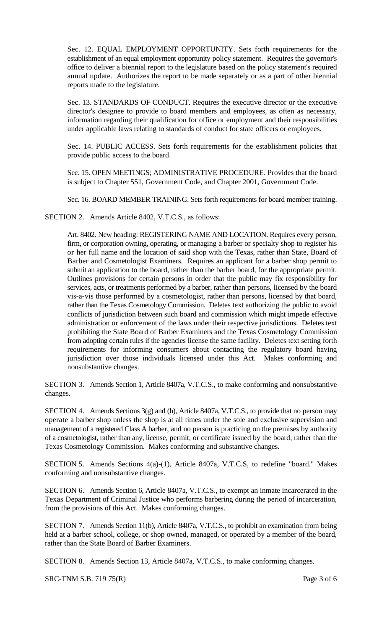Sec. 12. EQUAL EMPLOYMENT OPPORTUNITY. Sets forth requirements for the establishment of an equal employment opportunity policy statement. Requires the governor's office to deliver a biennial report to the legislature based on the policy statement's required annual update. Authorizes the report to be made separately or as a part of other biennial reports made to the legislature.

Sec. 13. STANDARDS OF CONDUCT. Requires the executive director or the executive director's designee to provide to board members and employees, as often as necessary, information regarding their qualification for office or employment and their responsibilities under applicable laws relating to standards of conduct for state officers or employees.

Sec. 14. PUBLIC ACCESS. Sets forth requirements for the establishment policies that provide public access to the board.

Sec. 15. OPEN MEETINGS; ADMINISTRATIVE PROCEDURE. Provides that the board is subject to Chapter 551, Government Code, and Chapter 2001, Government Code.

Sec. 16. BOARD MEMBER TRAINING. Sets forth requirements for board member training.

SECTION 2. Amends Article 8402, V.T.C.S., as follows:

Art. 8402. New heading: REGISTERING NAME AND LOCATION. Requires every person, firm, or corporation owning, operating, or managing a barber or specialty shop to register his or her full name and the location of said shop with the Texas, rather than State, Board of Barber and Cosmetologist Examiners. Requires an applicant for a barber shop permit to submit an application to the board, rather than the barber board, for the appropriate permit. Outlines provisions for certain persons in order that the public may fix responsibility for services, acts, or treatments performed by a barber, rather than persons, licensed by the board vis-a-vis those performed by a cosmetologist, rather than persons, licensed by that board, rather than the Texas Cosmetology Commission. Deletes text authorizing the public to avoid conflicts of jurisdiction between such board and commission which might impede effective administration or enforcement of the laws under their respective jurisdictions. Deletes text prohibiting the State Board of Barber Examiners and the Texas Cosmetology Commission from adopting certain rules if the agencies license the same facility. Deletes text setting forth requirements for informing consumers about contacting the regulatory board having jurisdiction over those individuals licensed under this Act. Makes conforming and nonsubstantive changes.

SECTION 3. Amends Section 1, Article 8407a, V.T.C.S., to make conforming and nonsubstantive changes.

SECTION 4. Amends Sections 3(g) and (h), Article 8407a, V.T.C.S., to provide that no person may operate a barber shop unless the shop is at all times under the sole and exclusive supervision and management of a registered Class A barber, and no person is practicing on the premises by authority of a cosmetologist, rather than any, license, permit, or certificate issued by the board, rather than the Texas Cosmetology Commission. Makes conforming and substantive changes.

SECTION 5. Amends Sections 4(a)-(1), Article 8407a, V.T.C.S, to redefine "board." Makes conforming and nonsubstantive changes.

SECTION 6. Amends Section 6, Article 8407a, V.T.C.S., to exempt an inmate incarcerated in the Texas Department of Criminal Justice who performs barbering during the period of incarceration, from the provisions of this Act. Makes conforming changes.

SECTION 7. Amends Section 11(b), Article 8407a, V.T.C.S., to prohibit an examination from being held at a barber school, college, or shop owned, managed, or operated by a member of the board, rather than the State Board of Barber Examiners.

SECTION 8. Amends Section 13, Article 8407a, V.T.C.S., to make conforming changes.

SRC-TNM S.B. 719 75(R) Page 3 of 6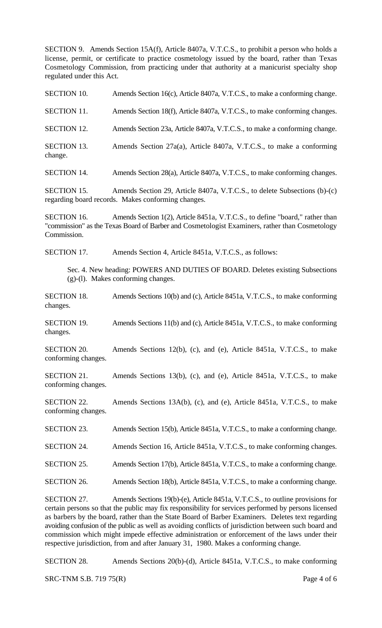SECTION 9. Amends Section 15A(f), Article 8407a, V.T.C.S., to prohibit a person who holds a license, permit, or certificate to practice cosmetology issued by the board, rather than Texas Cosmetology Commission, from practicing under that authority at a manicurist specialty shop regulated under this Act.

| <b>SECTION 10.</b>                        | Amends Section 16(c), Article 8407a, V.T.C.S., to make a conforming change.                                                                                                                                                                                                                                                                                                                                                                                                                                                                                                                 |
|-------------------------------------------|---------------------------------------------------------------------------------------------------------------------------------------------------------------------------------------------------------------------------------------------------------------------------------------------------------------------------------------------------------------------------------------------------------------------------------------------------------------------------------------------------------------------------------------------------------------------------------------------|
| <b>SECTION 11.</b>                        | Amends Section 18(f), Article 8407a, V.T.C.S., to make conforming changes.                                                                                                                                                                                                                                                                                                                                                                                                                                                                                                                  |
| <b>SECTION 12.</b>                        | Amends Section 23a, Article 8407a, V.T.C.S., to make a conforming change.                                                                                                                                                                                                                                                                                                                                                                                                                                                                                                                   |
| <b>SECTION 13.</b><br>change.             | Amends Section 27a(a), Article 8407a, V.T.C.S., to make a conforming                                                                                                                                                                                                                                                                                                                                                                                                                                                                                                                        |
| <b>SECTION 14.</b>                        | Amends Section 28(a), Article 8407a, V.T.C.S., to make conforming changes.                                                                                                                                                                                                                                                                                                                                                                                                                                                                                                                  |
| <b>SECTION 15.</b>                        | Amends Section 29, Article 8407a, V.T.C.S., to delete Subsections (b)-(c)<br>regarding board records. Makes conforming changes.                                                                                                                                                                                                                                                                                                                                                                                                                                                             |
| <b>SECTION 16.</b><br>Commission.         | Amends Section 1(2), Article 8451a, V.T.C.S., to define "board," rather than<br>"commission" as the Texas Board of Barber and Cosmetologist Examiners, rather than Cosmetology                                                                                                                                                                                                                                                                                                                                                                                                              |
| SECTION 17.                               | Amends Section 4, Article 8451a, V.T.C.S., as follows:                                                                                                                                                                                                                                                                                                                                                                                                                                                                                                                                      |
|                                           | Sec. 4. New heading: POWERS AND DUTIES OF BOARD. Deletes existing Subsections<br>(g)-(l). Makes conforming changes.                                                                                                                                                                                                                                                                                                                                                                                                                                                                         |
| <b>SECTION 18.</b><br>changes.            | Amends Sections 10(b) and (c), Article 8451a, V.T.C.S., to make conforming                                                                                                                                                                                                                                                                                                                                                                                                                                                                                                                  |
| <b>SECTION 19.</b><br>changes.            | Amends Sections 11(b) and (c), Article 8451a, V.T.C.S., to make conforming                                                                                                                                                                                                                                                                                                                                                                                                                                                                                                                  |
| <b>SECTION 20.</b><br>conforming changes. | Amends Sections 12(b), (c), and (e), Article 8451a, V.T.C.S., to make                                                                                                                                                                                                                                                                                                                                                                                                                                                                                                                       |
| <b>SECTION 21.</b><br>conforming changes. | Amends Sections 13(b), (c), and (e), Article 8451a, V.T.C.S., to make                                                                                                                                                                                                                                                                                                                                                                                                                                                                                                                       |
| <b>SECTION 22.</b><br>conforming changes. | Amends Sections 13A(b), (c), and (e), Article 8451a, V.T.C.S., to make                                                                                                                                                                                                                                                                                                                                                                                                                                                                                                                      |
| SECTION 23.                               | Amends Section 15(b), Article 8451a, V.T.C.S., to make a conforming change.                                                                                                                                                                                                                                                                                                                                                                                                                                                                                                                 |
| SECTION 24.                               | Amends Section 16, Article 8451a, V.T.C.S., to make conforming changes.                                                                                                                                                                                                                                                                                                                                                                                                                                                                                                                     |
| SECTION 25.                               | Amends Section 17(b), Article 8451a, V.T.C.S., to make a conforming change.                                                                                                                                                                                                                                                                                                                                                                                                                                                                                                                 |
| SECTION 26.                               | Amends Section 18(b), Article 8451a, V.T.C.S., to make a conforming change.                                                                                                                                                                                                                                                                                                                                                                                                                                                                                                                 |
| SECTION 27.                               | Amends Sections 19(b)-(e), Article 8451a, V.T.C.S., to outline provisions for<br>certain persons so that the public may fix responsibility for services performed by persons licensed<br>as barbers by the board, rather than the State Board of Barber Examiners. Deletes text regarding<br>avoiding confusion of the public as well as avoiding conflicts of jurisdiction between such board and<br>commission which might impede effective administration or enforcement of the laws under their<br>respective jurisdiction, from and after January 31, 1980. Makes a conforming change. |

SECTION 28. Amends Sections 20(b)-(d), Article 8451a, V.T.C.S., to make conforming

SRC-TNM S.B. 719 75(R) Page 4 of 6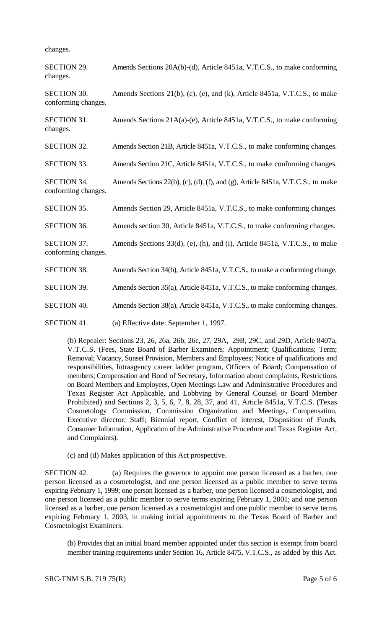changes.

| <b>SECTION 29.</b><br>changes.            | Amends Sections 20A(b)-(d), Article 8451a, V.T.C.S., to make conforming         |
|-------------------------------------------|---------------------------------------------------------------------------------|
| <b>SECTION 30.</b><br>conforming changes. | Amends Sections 21(b), (c), (e), and (k), Article 8451a, V.T.C.S., to make      |
| <b>SECTION 31.</b><br>changes.            | Amends Sections 21A(a)-(e), Article 8451a, V.T.C.S., to make conforming         |
| <b>SECTION 32.</b>                        | Amends Section 21B, Article 8451a, V.T.C.S., to make conforming changes.        |
| <b>SECTION 33.</b>                        | Amends Section 21C, Article 8451a, V.T.C.S., to make conforming changes.        |
| <b>SECTION 34.</b><br>conforming changes. | Amends Sections 22(b), (c), (d), (f), and (g), Article 8451a, V.T.C.S., to make |
| <b>SECTION 35.</b>                        | Amends Section 29, Article 8451a, V.T.C.S., to make conforming changes.         |
| <b>SECTION 36.</b>                        | Amends section 30, Article 8451a, V.T.C.S., to make conforming changes.         |
| <b>SECTION 37.</b><br>conforming changes. | Amends Sections 33(d), (e), (h), and (i), Article 8451a, V.T.C.S., to make      |
| <b>SECTION 38.</b>                        | Amends Section 34(b), Article 8451a, V.T.C.S., to make a conforming change.     |
| <b>SECTION 39.</b>                        | Amends Section 35(a), Article 8451a, V.T.C.S., to make conforming changes.      |
| <b>SECTION 40.</b>                        | Amends Section 38(a), Article 8451a, V.T.C.S., to make conforming changes.      |
| <b>SECTION 41.</b>                        | (a) Effective date: September 1, 1997.                                          |

(b) Repealer: Sections 23, 26, 26a, 26b, 26c, 27, 29A, 29B, 29C, and 29D, Article 8407a, V.T.C.S. (Fees, State Board of Barber Examiners: Appointment; Qualifications; Term; Removal; Vacancy, Sunset Provision, Members and Employees; Notice of qualifications and responsibilities, Intraagency career ladder program, Officers of Board; Compensation of members; Compensation and Bond of Secretary, Information about complaints, Restrictions on Board Members and Employees, Open Meetings Law and Administrative Procedures and Texas Register Act Applicable, and Lobbying by General Counsel or Board Member Prohibited) and Sections 2, 3, 5, 6, 7, 8, 28, 37, and 41, Article 8451a, V.T.C.S. (Texas Cosmetology Commission, Commission Organization and Meetings, Compensation, Executive director; Staff; Biennial report, Conflict of interest, Disposition of Funds, Consumer Information, Application of the Administrative Procedure and Texas Register Act, and Complaints).

(c) and (d) Makes application of this Act prospective.

SECTION 42. (a) Requires the governor to appoint one person licensed as a barber, one person licensed as a cosmetologist, and one person licensed as a public member to serve terms expiring February 1, 1999; one person licensed as a barber, one person licensed a cosmetologist, and one person licensed as a public member to serve terms expiring February 1, 2001; and one person licensed as a barber, one person licensed as a cosmetologist and one public member to serve terms expiring February 1, 2003, in making initial appointments to the Texas Board of Barber and Cosmetologist Examiners.

(b) Provides that an initial board member appointed under this section is exempt from board member training requirements under Section 16, Article 8475, V.T.C.S., as added by this Act.